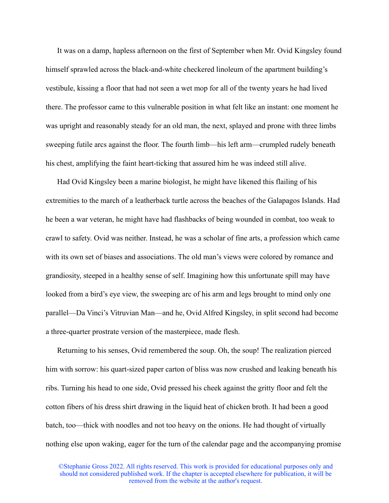It was on a damp, hapless afternoon on the first of September when Mr. Ovid Kingsley found himself sprawled across the black-and-white checkered linoleum of the apartment building's vestibule, kissing a floor that had not seen a wet mop for all of the twenty years he had lived there. The professor came to this vulnerable position in what felt like an instant: one moment he was upright and reasonably steady for an old man, the next, splayed and prone with three limbs sweeping futile arcs against the floor. The fourth limb—his left arm—crumpled rudely beneath his chest, amplifying the faint heart-ticking that assured him he was indeed still alive.

Had Ovid Kingsley been a marine biologist, he might have likened this flailing of his extremities to the march of a leatherback turtle across the beaches of the Galapagos Islands. Had he been a war veteran, he might have had flashbacks of being wounded in combat, too weak to crawl to safety. Ovid was neither. Instead, he was a scholar of fine arts, a profession which came with its own set of biases and associations. The old man's views were colored by romance and grandiosity, steeped in a healthy sense of self. Imagining how this unfortunate spill may have looked from a bird's eye view, the sweeping arc of his arm and legs brought to mind only one parallel—Da Vinci's Vitruvian Man—and he, Ovid Alfred Kingsley, in split second had become a three-quarter prostrate version of the masterpiece, made flesh.

Returning to his senses, Ovid remembered the soup. Oh, the soup! The realization pierced him with sorrow: his quart-sized paper carton of bliss was now crushed and leaking beneath his ribs. Turning his head to one side, Ovid pressed his cheek against the gritty floor and felt the cotton fibers of his dress shirt drawing in the liquid heat of chicken broth. It had been a good batch, too—thick with noodles and not too heavy on the onions. He had thought of virtually nothing else upon waking, eager for the turn of the calendar page and the accompanying promise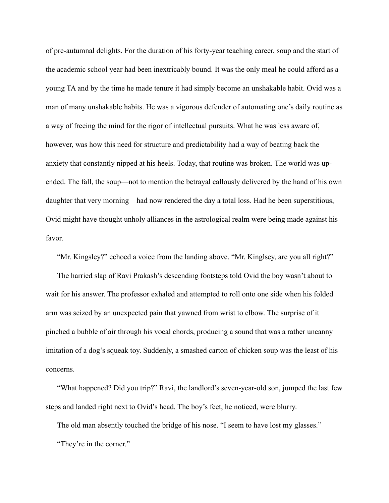of pre-autumnal delights. For the duration of his forty-year teaching career, soup and the start of the academic school year had been inextricably bound. It was the only meal he could afford as a young TA and by the time he made tenure it had simply become an unshakable habit. Ovid was a man of many unshakable habits. He was a vigorous defender of automating one's daily routine as a way of freeing the mind for the rigor of intellectual pursuits. What he was less aware of, however, was how this need for structure and predictability had a way of beating back the anxiety that constantly nipped at his heels. Today, that routine was broken. The world was upended. The fall, the soup—not to mention the betrayal callously delivered by the hand of his own daughter that very morning—had now rendered the day a total loss. Had he been superstitious, Ovid might have thought unholy alliances in the astrological realm were being made against his favor.

"Mr. Kingsley?" echoed a voice from the landing above. "Mr. Kinglsey, are you all right?"

The harried slap of Ravi Prakash's descending footsteps told Ovid the boy wasn't about to wait for his answer. The professor exhaled and attempted to roll onto one side when his folded arm was seized by an unexpected pain that yawned from wrist to elbow. The surprise of it pinched a bubble of air through his vocal chords, producing a sound that was a rather uncanny imitation of a dog's squeak toy. Suddenly, a smashed carton of chicken soup was the least of his concerns.

"What happened? Did you trip?" Ravi, the landlord's seven-year-old son, jumped the last few steps and landed right next to Ovid's head. The boy's feet, he noticed, were blurry.

The old man absently touched the bridge of his nose. "I seem to have lost my glasses."

"They're in the corner."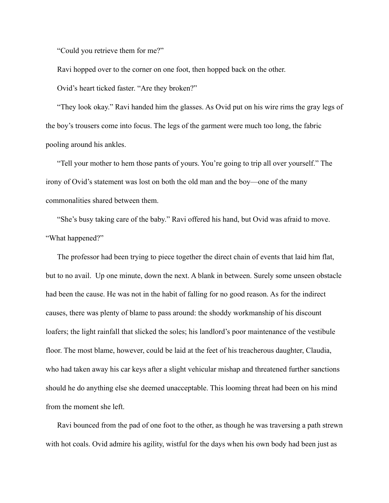"Could you retrieve them for me?"

Ravi hopped over to the corner on one foot, then hopped back on the other.

Ovid's heart ticked faster. "Are they broken?"

"They look okay." Ravi handed him the glasses. As Ovid put on his wire rims the gray legs of the boy's trousers come into focus. The legs of the garment were much too long, the fabric pooling around his ankles.

"Tell your mother to hem those pants of yours. You're going to trip all over yourself." The irony of Ovid's statement was lost on both the old man and the boy—one of the many commonalities shared between them.

"She's busy taking care of the baby." Ravi offered his hand, but Ovid was afraid to move. "What happened?"

The professor had been trying to piece together the direct chain of events that laid him flat, but to no avail. Up one minute, down the next. A blank in between. Surely some unseen obstacle had been the cause. He was not in the habit of falling for no good reason. As for the indirect causes, there was plenty of blame to pass around: the shoddy workmanship of his discount loafers; the light rainfall that slicked the soles; his landlord's poor maintenance of the vestibule floor. The most blame, however, could be laid at the feet of his treacherous daughter, Claudia, who had taken away his car keys after a slight vehicular mishap and threatened further sanctions should he do anything else she deemed unacceptable. This looming threat had been on his mind from the moment she left.

Ravi bounced from the pad of one foot to the other, as though he was traversing a path strewn with hot coals. Ovid admire his agility, wistful for the days when his own body had been just as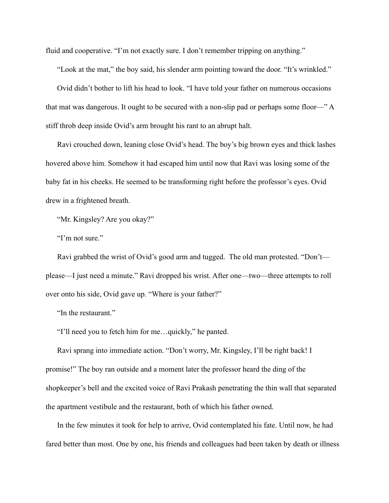fluid and cooperative. "I'm not exactly sure. I don't remember tripping on anything."

"Look at the mat," the boy said, his slender arm pointing toward the door. "It's wrinkled."

Ovid didn't bother to lift his head to look. "I have told your father on numerous occasions that mat was dangerous. It ought to be secured with a non-slip pad or perhaps some floor—" A stiff throb deep inside Ovid's arm brought his rant to an abrupt halt.

Ravi crouched down, leaning close Ovid's head. The boy's big brown eyes and thick lashes hovered above him. Somehow it had escaped him until now that Ravi was losing some of the baby fat in his cheeks. He seemed to be transforming right before the professor's eyes. Ovid drew in a frightened breath.

"Mr. Kingsley? Are you okay?"

"I'm not sure."

Ravi grabbed the wrist of Ovid's good arm and tugged. The old man protested. "Don't please—I just need a minute." Ravi dropped his wrist. After one—two—three attempts to roll over onto his side, Ovid gave up. "Where is your father?"

"In the restaurant."

"I'll need you to fetch him for me…quickly," he panted.

Ravi sprang into immediate action. "Don't worry, Mr. Kingsley, I'll be right back! I promise!" The boy ran outside and a moment later the professor heard the ding of the shopkeeper's bell and the excited voice of Ravi Prakash penetrating the thin wall that separated the apartment vestibule and the restaurant, both of which his father owned.

In the few minutes it took for help to arrive, Ovid contemplated his fate. Until now, he had fared better than most. One by one, his friends and colleagues had been taken by death or illness